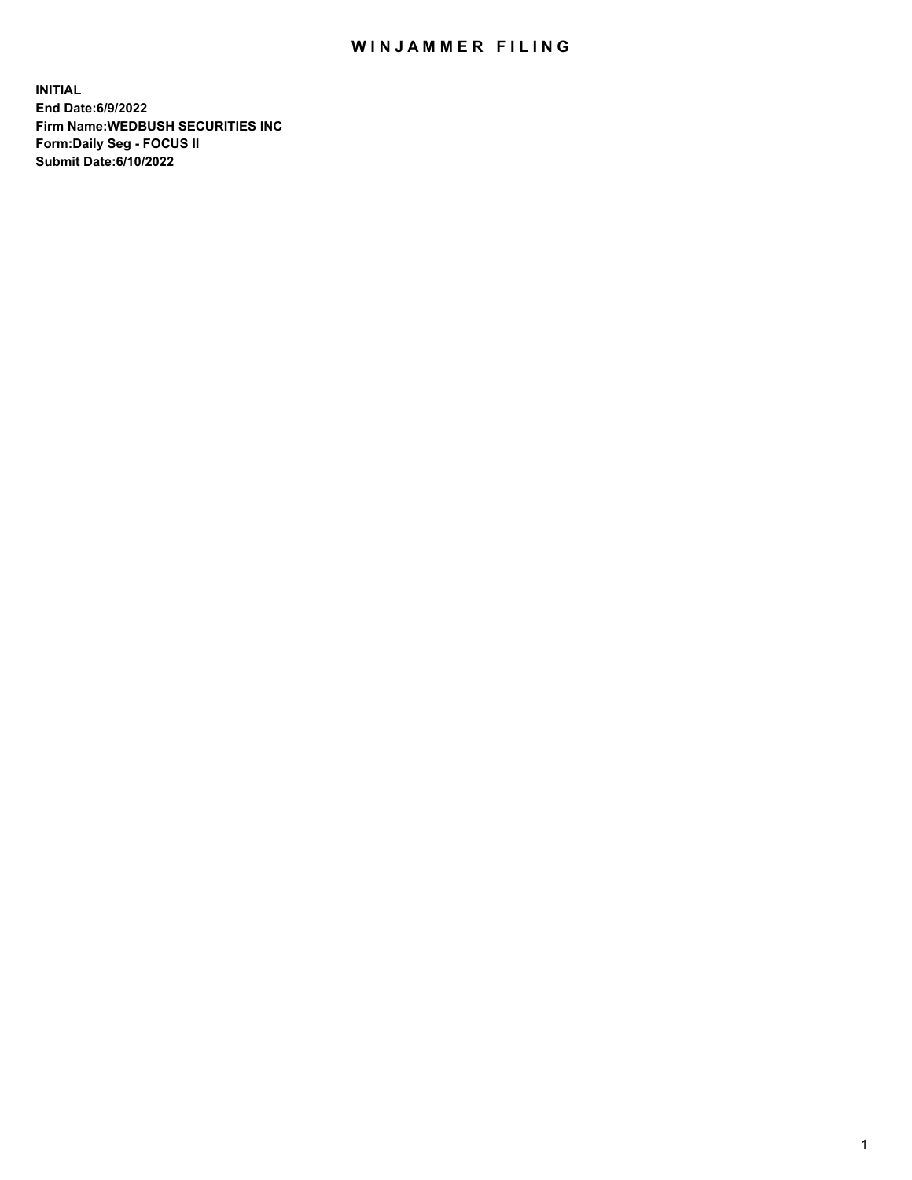## WIN JAMMER FILING

**INITIAL End Date:6/9/2022 Firm Name:WEDBUSH SECURITIES INC Form:Daily Seg - FOCUS II Submit Date:6/10/2022**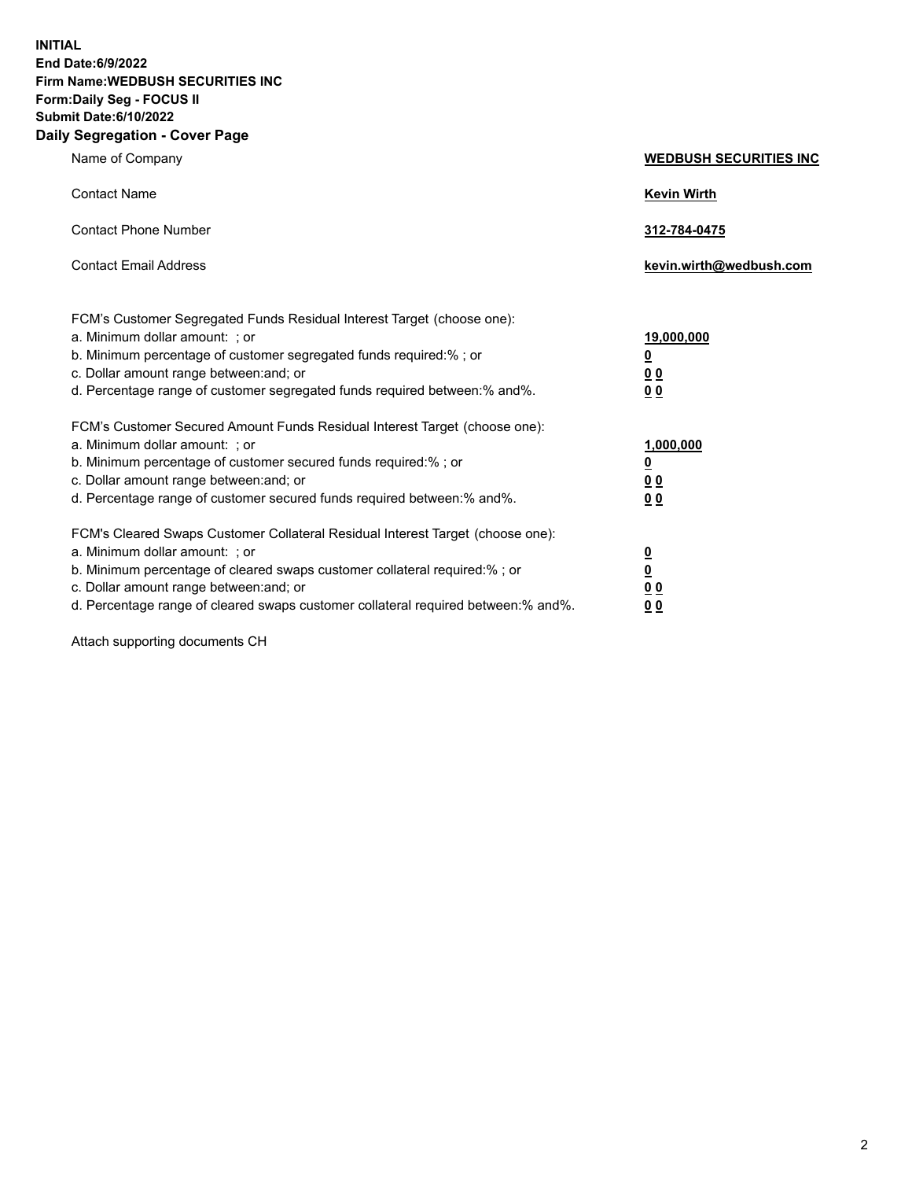**INITIAL End Date:6/9/2022 Firm Name:WEDBUSH SECURITIES INC Form:Daily Seg - FOCUS II Submit Date:6/10/2022 Daily Segregation - Cover Page**

| Name of Company                                                                                                                                                                                                                                                                                       | <b>WEDBUSH SECURITIES INC</b>                                            |
|-------------------------------------------------------------------------------------------------------------------------------------------------------------------------------------------------------------------------------------------------------------------------------------------------------|--------------------------------------------------------------------------|
| <b>Contact Name</b>                                                                                                                                                                                                                                                                                   | <b>Kevin Wirth</b>                                                       |
| <b>Contact Phone Number</b>                                                                                                                                                                                                                                                                           | 312-784-0475                                                             |
| <b>Contact Email Address</b>                                                                                                                                                                                                                                                                          | kevin.wirth@wedbush.com                                                  |
| FCM's Customer Segregated Funds Residual Interest Target (choose one):<br>a. Minimum dollar amount: ; or                                                                                                                                                                                              | 19,000,000                                                               |
| b. Minimum percentage of customer segregated funds required:% ; or                                                                                                                                                                                                                                    | $\overline{\mathbf{0}}$                                                  |
| c. Dollar amount range between: and; or<br>d. Percentage range of customer segregated funds required between:% and%.                                                                                                                                                                                  | 0 <sub>0</sub><br>00                                                     |
| FCM's Customer Secured Amount Funds Residual Interest Target (choose one):<br>a. Minimum dollar amount: ; or<br>b. Minimum percentage of customer secured funds required:%; or<br>c. Dollar amount range between: and; or<br>d. Percentage range of customer secured funds required between: % and %. | 1,000,000<br>$\overline{\mathbf{0}}$<br>0 <sub>0</sub><br>0 <sub>0</sub> |
| FCM's Cleared Swaps Customer Collateral Residual Interest Target (choose one):<br>a. Minimum dollar amount: ; or<br>b. Minimum percentage of cleared swaps customer collateral required:%; or<br>c. Dollar amount range between: and; or                                                              | $\frac{0}{0}$<br>0 <sub>0</sub>                                          |

d. Percentage range of cleared swaps customer collateral required between:% and%. **0 0**

Attach supporting documents CH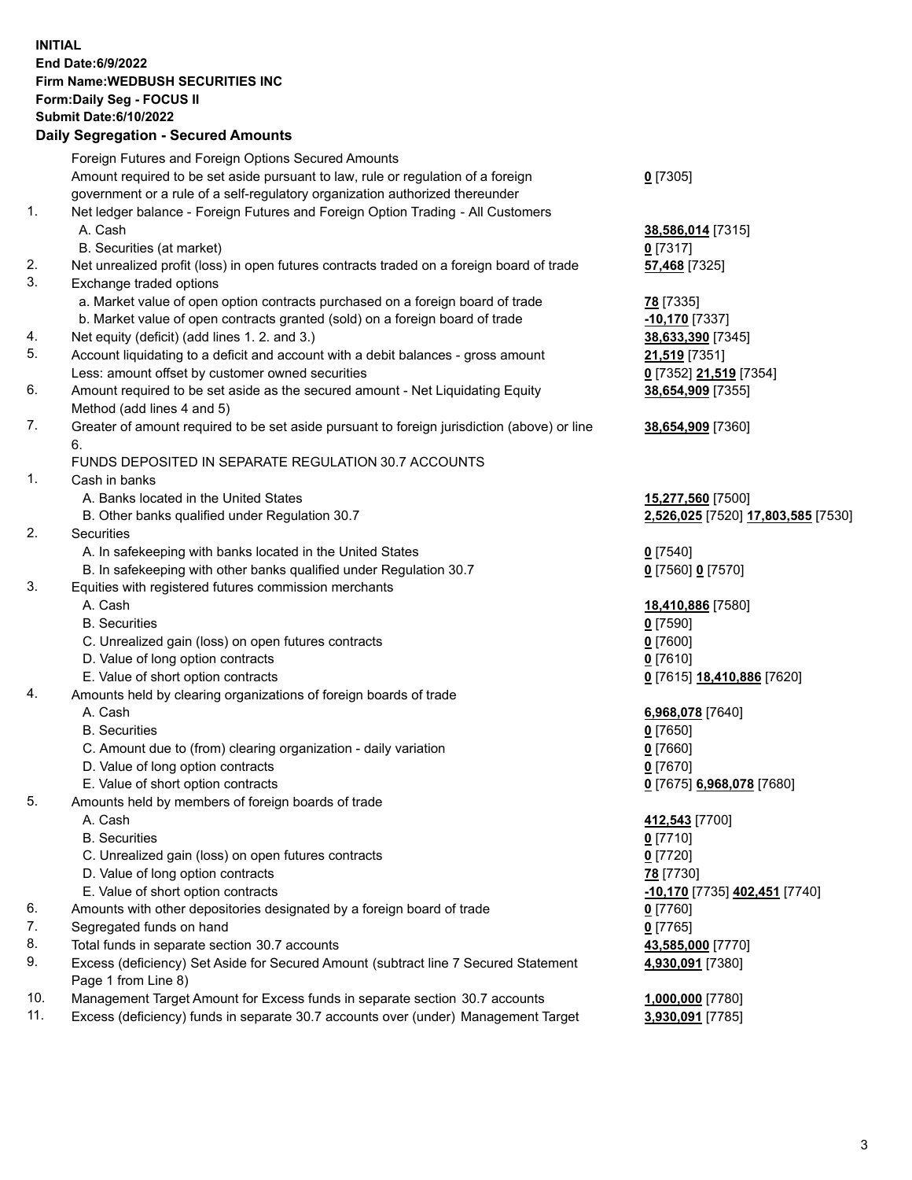**INITIAL End Date:6/9/2022 Firm Name:WEDBUSH SECURITIES INC Form:Daily Seg - FOCUS II Submit Date:6/10/2022 Daily Segregation - Secured Amounts**

|     | Foreign Futures and Foreign Options Secured Amounts                                         |                                    |
|-----|---------------------------------------------------------------------------------------------|------------------------------------|
|     | Amount required to be set aside pursuant to law, rule or regulation of a foreign            | $0$ [7305]                         |
|     | government or a rule of a self-regulatory organization authorized thereunder                |                                    |
| 1.  | Net ledger balance - Foreign Futures and Foreign Option Trading - All Customers             |                                    |
|     | A. Cash                                                                                     | 38,586,014 [7315]                  |
|     | B. Securities (at market)                                                                   | $0$ [7317]                         |
| 2.  | Net unrealized profit (loss) in open futures contracts traded on a foreign board of trade   | 57,468 [7325]                      |
| 3.  | Exchange traded options                                                                     |                                    |
|     | a. Market value of open option contracts purchased on a foreign board of trade              | 78 [7335]                          |
|     | b. Market value of open contracts granted (sold) on a foreign board of trade                | -10,170 [7337]                     |
| 4.  | Net equity (deficit) (add lines 1.2. and 3.)                                                | 38,633,390 [7345]                  |
| 5.  | Account liquidating to a deficit and account with a debit balances - gross amount           | 21,519 [7351]                      |
|     | Less: amount offset by customer owned securities                                            | 0 [7352] 21,519 [7354]             |
| 6.  | Amount required to be set aside as the secured amount - Net Liquidating Equity              | 38,654,909 [7355]                  |
|     | Method (add lines 4 and 5)                                                                  |                                    |
| 7.  | Greater of amount required to be set aside pursuant to foreign jurisdiction (above) or line | 38,654,909 [7360]                  |
|     | 6.                                                                                          |                                    |
| 1.  | FUNDS DEPOSITED IN SEPARATE REGULATION 30.7 ACCOUNTS                                        |                                    |
|     | Cash in banks<br>A. Banks located in the United States                                      |                                    |
|     |                                                                                             | 15,277,560 [7500]                  |
| 2.  | B. Other banks qualified under Regulation 30.7<br>Securities                                | 2,526,025 [7520] 17,803,585 [7530] |
|     | A. In safekeeping with banks located in the United States                                   | $0$ [7540]                         |
|     | B. In safekeeping with other banks qualified under Regulation 30.7                          | 0 [7560] 0 [7570]                  |
| 3.  | Equities with registered futures commission merchants                                       |                                    |
|     | A. Cash                                                                                     | 18,410,886 [7580]                  |
|     | <b>B.</b> Securities                                                                        | $0$ [7590]                         |
|     | C. Unrealized gain (loss) on open futures contracts                                         | $0$ [7600]                         |
|     | D. Value of long option contracts                                                           | $0$ [7610]                         |
|     | E. Value of short option contracts                                                          | 0 [7615] 18,410,886 [7620]         |
| 4.  | Amounts held by clearing organizations of foreign boards of trade                           |                                    |
|     | A. Cash                                                                                     | 6,968,078 [7640]                   |
|     | <b>B.</b> Securities                                                                        | $0$ [7650]                         |
|     | C. Amount due to (from) clearing organization - daily variation                             | $0$ [7660]                         |
|     | D. Value of long option contracts                                                           | $0$ [7670]                         |
|     | E. Value of short option contracts                                                          | 0 [7675] 6,968,078 [7680]          |
| 5.  | Amounts held by members of foreign boards of trade                                          |                                    |
|     | A. Cash                                                                                     | 412,543 [7700]                     |
|     | <b>B.</b> Securities                                                                        | $0$ [7710]                         |
|     | C. Unrealized gain (loss) on open futures contracts                                         | $0$ [7720]                         |
|     | D. Value of long option contracts                                                           | 78 [7730]                          |
|     | E. Value of short option contracts                                                          | -10,170 [7735] 402,451 [7740]      |
| 6.  | Amounts with other depositories designated by a foreign board of trade                      | $0$ [7760]                         |
| 7.  | Segregated funds on hand                                                                    | $0$ [7765]                         |
| 8.  | Total funds in separate section 30.7 accounts                                               | 43,585,000 [7770]                  |
| 9.  | Excess (deficiency) Set Aside for Secured Amount (subtract line 7 Secured Statement         | 4,930,091 [7380]                   |
|     | Page 1 from Line 8)                                                                         |                                    |
| 10. | Management Target Amount for Excess funds in separate section 30.7 accounts                 | 1,000,000 [7780]                   |
| 11. | Excess (deficiency) funds in separate 30.7 accounts over (under) Management Target          | 3,930,091 [7785]                   |
|     |                                                                                             |                                    |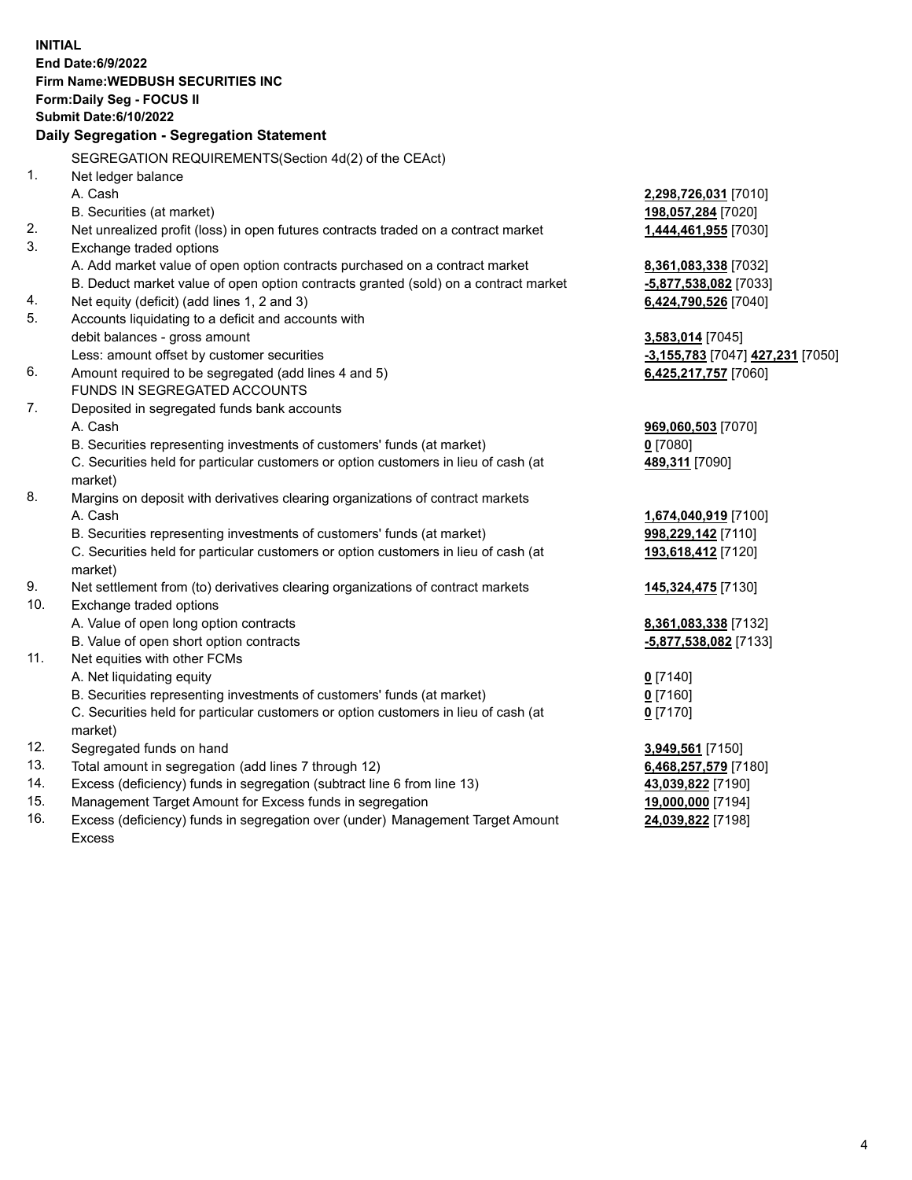| <b>INITIAL</b> |                                                                                     |                                  |
|----------------|-------------------------------------------------------------------------------------|----------------------------------|
|                | End Date:6/9/2022                                                                   |                                  |
|                | Firm Name: WEDBUSH SECURITIES INC                                                   |                                  |
|                | Form: Daily Seg - FOCUS II                                                          |                                  |
|                | <b>Submit Date:6/10/2022</b>                                                        |                                  |
|                | Daily Segregation - Segregation Statement                                           |                                  |
|                | SEGREGATION REQUIREMENTS(Section 4d(2) of the CEAct)                                |                                  |
| 1.             | Net ledger balance                                                                  |                                  |
|                | A. Cash                                                                             | 2,298,726,031 [7010]             |
|                | B. Securities (at market)                                                           | 198,057,284 [7020]               |
| 2.             | Net unrealized profit (loss) in open futures contracts traded on a contract market  | 1,444,461,955 [7030]             |
| 3.             | Exchange traded options                                                             |                                  |
|                | A. Add market value of open option contracts purchased on a contract market         | 8,361,083,338 [7032]             |
|                | B. Deduct market value of open option contracts granted (sold) on a contract market | -5,877,538,082 [7033]            |
| 4.             | Net equity (deficit) (add lines 1, 2 and 3)                                         | 6,424,790,526 [7040]             |
| 5.             | Accounts liquidating to a deficit and accounts with                                 |                                  |
|                | debit balances - gross amount                                                       | 3,583,014 [7045]                 |
|                | Less: amount offset by customer securities                                          | -3,155,783 [7047] 427,231 [7050] |
| 6.             | Amount required to be segregated (add lines 4 and 5)                                | 6,425,217,757 [7060]             |
|                | FUNDS IN SEGREGATED ACCOUNTS                                                        |                                  |
| 7.             | Deposited in segregated funds bank accounts                                         |                                  |
|                | A. Cash                                                                             | 969,060,503 [7070]               |
|                | B. Securities representing investments of customers' funds (at market)              | $0$ [7080]                       |
|                | C. Securities held for particular customers or option customers in lieu of cash (at | 489,311 [7090]                   |
|                | market)                                                                             |                                  |
| 8.             | Margins on deposit with derivatives clearing organizations of contract markets      |                                  |
|                | A. Cash                                                                             | 1,674,040,919 [7100]             |
|                | B. Securities representing investments of customers' funds (at market)              | 998,229,142 [7110]               |
|                | C. Securities held for particular customers or option customers in lieu of cash (at | 193,618,412 [7120]               |
|                | market)                                                                             |                                  |
| 9.             | Net settlement from (to) derivatives clearing organizations of contract markets     | 145,324,475 [7130]               |
| 10.            | Exchange traded options                                                             |                                  |
|                | A. Value of open long option contracts                                              | 8,361,083,338 [7132]             |
|                | B. Value of open short option contracts                                             | <u>-5,877,538,082</u> [7133]     |
| 11.            | Net equities with other FCMs                                                        |                                  |
|                | A. Net liquidating equity                                                           | $0$ [7140]                       |
|                | B. Securities representing investments of customers' funds (at market)              | <u>0</u> [7160]                  |
|                | C. Securities held for particular customers or option customers in lieu of cash (at | $0$ [7170]                       |
|                | market)                                                                             |                                  |
| 12.            | Segregated funds on hand                                                            | 3,949,561 [7150]                 |
| 13.            | Total amount in segregation (add lines 7 through 12)                                | 6,468,257,579 [7180]             |
| 14.            | Excess (deficiency) funds in segregation (subtract line 6 from line 13)             | 43,039,822 [7190]                |
| 15.            | Management Target Amount for Excess funds in segregation                            | 19,000,000 [7194]                |
| 16.            | Excess (deficiency) funds in segregation over (under) Management Target Amount      | 24,039,822 [7198]                |

Excess